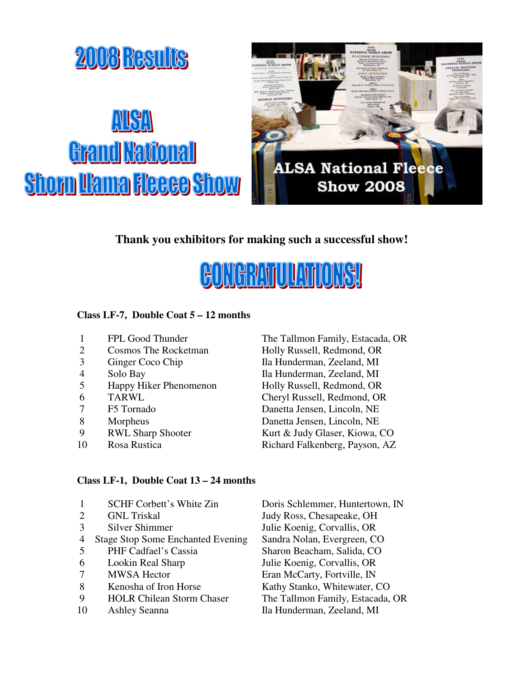

## **Thank you exhibitors for making such a successful show!**



#### **Class LF-7, Double Coat 5 – 12 months**

- 1 FPL Good Thunder The Tallmon Family, Estacada, OR<br>2 Cosmos The Rocketman Holly Russell, Redmond, OR
- 2 Cosmos The Rocketman Holly Russell, Redmond, OR
- 3 Ginger Coco Chip Ila Hunderman, Zeeland, MI
- 
- 5 Happy Hiker Phenomenon Holly Russell, Redmond, OR
- 
- 
- 
- 
- 

# 4 Solo Bay Ila Hunderman, Zeeland, MI 6 TARWL Cheryl Russell, Redmond, OR 7 F5 Tornado Danetta Jensen, Lincoln, NE 8 Morpheus Danetta Jensen, Lincoln, NE 9 RWL Sharp Shooter Kurt & Judy Glaser, Kiowa, CO 10 Rosa Rustica Richard Falkenberg, Payson, AZ

#### **Class LF-1, Double Coat 13 – 24 months**

- 2 GNL Triskal Judy Ross, Chesapeake, OH 3 Silver Shimmer Julie Koenig, Corvallis, OR 4 Stage Stop Some Enchanted Evening Sandra Nolan, Evergreen, CO 5 PHF Cadfael's Cassia Sharon Beacham, Salida, CO
- 
- 
- 
- 
- 1 SCHF Corbett's White Zin Doris Schlemmer, Huntertown, IN 6 Lookin Real Sharp Julie Koenig, Corvallis, OR<br>
7 MWSA Hector Eran McCarty Fortville. IN 7 MWSA Hector Eran McCarty, Fortville, IN 8 Kenosha of Iron Horse Kathy Stanko, Whitewater, CO 9 HOLR Chilean Storm Chaser The Tallmon Family, Estacada, OR 10 Ashley Seanna Ila Hunderman, Zeeland, MI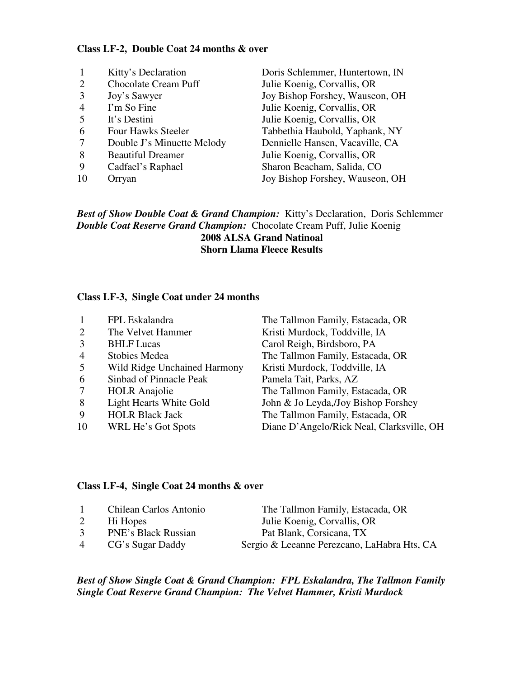#### **Class LF-2, Double Coat 24 months & over**

|                | Kitty's Declaration         | Doris Schlemmer, Huntertown, IN |
|----------------|-----------------------------|---------------------------------|
| 2              | <b>Chocolate Cream Puff</b> | Julie Koenig, Corvallis, OR     |
|                | Joy's Sawyer                | Joy Bishop Forshey, Wauseon, OH |
| $\overline{4}$ | I'm So Fine                 | Julie Koenig, Corvallis, OR     |
| 5              | It's Destini                | Julie Koenig, Corvallis, OR     |
| 6              | <b>Four Hawks Steeler</b>   | Tabbethia Haubold, Yaphank, NY  |
|                | Double J's Minuette Melody  | Dennielle Hansen, Vacaville, CA |
| 8              | <b>Beautiful Dreamer</b>    | Julie Koenig, Corvallis, OR     |
| 9              | Cadfael's Raphael           | Sharon Beacham, Salida, CO      |
| 10             | Orryan                      | Joy Bishop Forshey, Wauseon, OH |

*Best of Show Double Coat & Grand Champion:* Kitty's Declaration, Doris Schlemmer *Double Coat Reserve Grand Champion:* Chocolate Cream Puff, Julie Koenig **2008 ALSA Grand Natinoal Shorn Llama Fleece Results** 

#### **Class LF-3, Single Coat under 24 months**

| $\mathbf{1}$   | FPL Eskalandra               | The Tallmon Family, Estacada, OR          |
|----------------|------------------------------|-------------------------------------------|
| 2              | The Velvet Hammer            | Kristi Murdock, Toddville, IA             |
| 3              | <b>BHLF</b> Lucas            | Carol Reigh, Birdsboro, PA                |
| $\overline{4}$ | Stobies Medea                | The Tallmon Family, Estacada, OR          |
| 5              | Wild Ridge Unchained Harmony | Kristi Murdock, Toddville, IA             |
| 6              | Sinbad of Pinnacle Peak      | Pamela Tait, Parks, AZ                    |
| $\tau$         | <b>HOLR</b> Anajolie         | The Tallmon Family, Estacada, OR          |
| 8              | Light Hearts White Gold      | John & Jo Leyda, Joy Bishop Forshey       |
| 9              | <b>HOLR Black Jack</b>       | The Tallmon Family, Estacada, OR          |
| 10             | WRL He's Got Spots           | Diane D'Angelo/Rick Neal, Clarksville, OH |

#### **Class LF-4, Single Coat 24 months & over**

| $\overline{1}$ | Chilean Carlos Antonio<br>Hi Hopes | The Tallmon Family, Estacada, OR<br>Julie Koenig, Corvallis, OR |
|----------------|------------------------------------|-----------------------------------------------------------------|
| 3              | <b>PNE's Black Russian</b>         | Pat Blank, Corsicana, TX                                        |
| 4              | CG's Sugar Daddy                   | Sergio & Leeanne Perezcano, LaHabra Hts, CA                     |

#### *Best of Show Single Coat & Grand Champion: FPL Eskalandra, The Tallmon Family Single Coat Reserve Grand Champion: The Velvet Hammer, Kristi Murdock*